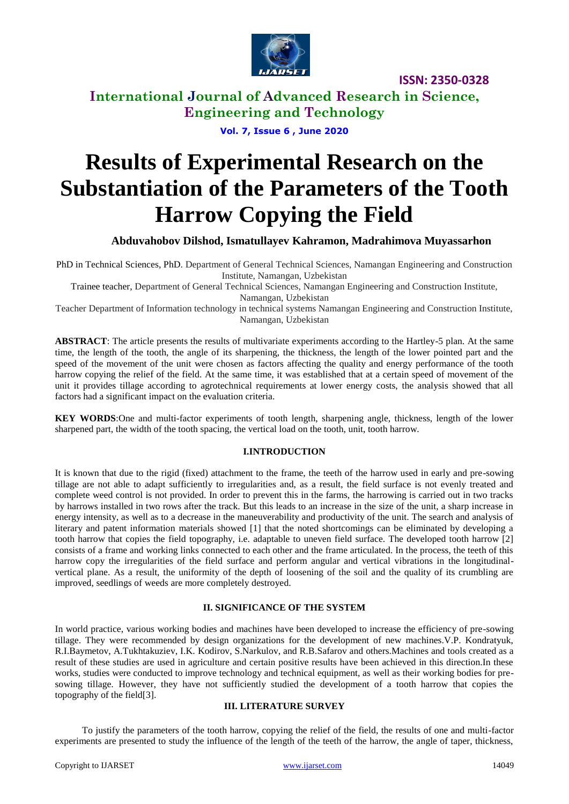

**International Journal of Advanced Research in Science, Engineering and Technology**

**Vol. 7, Issue 6 , June 2020**

# **Results of Experimental Research on the Substantiation of the Parameters of the Tooth Harrow Copying the Field**

**Abduvahobov Dilshod, Ismatullayev Kahramon, Madrahimova Muyassarhon**

PhD in Technical Sciences, PhD. Department of General Technical Sciences, Namangan Engineering and Construction Institute, Namangan, Uzbekistan

Trainee teacher, Department of General Technical Sciences, Namangan Engineering and Construction Institute, Namangan, Uzbekistan

Teacher Department of Information technology in technical systems Namangan Engineering and Construction Institute, Namangan, Uzbekistan

**ABSTRACT**: The article presents the results of multivariate experiments according to the Hartley-5 plan. At the same time, the length of the tooth, the angle of its sharpening, the thickness, the length of the lower pointed part and the speed of the movement of the unit were chosen as factors affecting the quality and energy performance of the tooth harrow copying the relief of the field. At the same time, it was established that at a certain speed of movement of the unit it provides tillage according to agrotechnical requirements at lower energy costs, the analysis showed that all factors had a significant impact on the evaluation criteria.

**KEY WORDS**:One and multi-factor experiments of tooth length, sharpening angle, thickness, length of the lower sharpened part, the width of the tooth spacing, the vertical load on the tooth, unit, tooth harrow.

#### **I.INTRODUCTION**

It is known that due to the rigid (fixed) attachment to the frame, the teeth of the harrow used in early and pre-sowing tillage are not able to adapt sufficiently to irregularities and, as a result, the field surface is not evenly treated and complete weed control is not provided. In order to prevent this in the farms, the harrowing is carried out in two tracks by harrows installed in two rows after the track. But this leads to an increase in the size of the unit, a sharp increase in energy intensity, as well as to a decrease in the maneuverability and productivity of the unit. The search and analysis of literary and patent information materials showed [1] that the noted shortcomings can be eliminated by developing a tooth harrow that copies the field topography, i.e. adaptable to uneven field surface. The developed tooth harrow [2] consists of a frame and working links connected to each other and the frame articulated. In the process, the teeth of this harrow copy the irregularities of the field surface and perform angular and vertical vibrations in the longitudinalvertical plane. As a result, the uniformity of the depth of loosening of the soil and the quality of its crumbling are improved, seedlings of weeds are more completely destroyed.

## **II. SIGNIFICANCE OF THE SYSTEM**

In world practice, various working bodies and machines have been developed to increase the efficiency of pre-sowing tillage. They were recommended by design organizations for the development of new machines.V.P. Kondratyuk, R.I.Baymetov, A.Tukhtakuziev, I.K. Kodirov, S.Narkulov, and R.B.Safarov and others.Machines and tools created as a result of these studies are used in agriculture and certain positive results have been achieved in this direction.In these works, studies were conducted to improve technology and technical equipment, as well as their working bodies for presowing tillage. However, they have not sufficiently studied the development of a tooth harrow that copies the topography of the field[3].

## **III. LITERATURE SURVEY**

To justify the parameters of the tooth harrow, copying the relief of the field, the results of one and multi-factor experiments are presented to study the influence of the length of the teeth of the harrow, the angle of taper, thickness,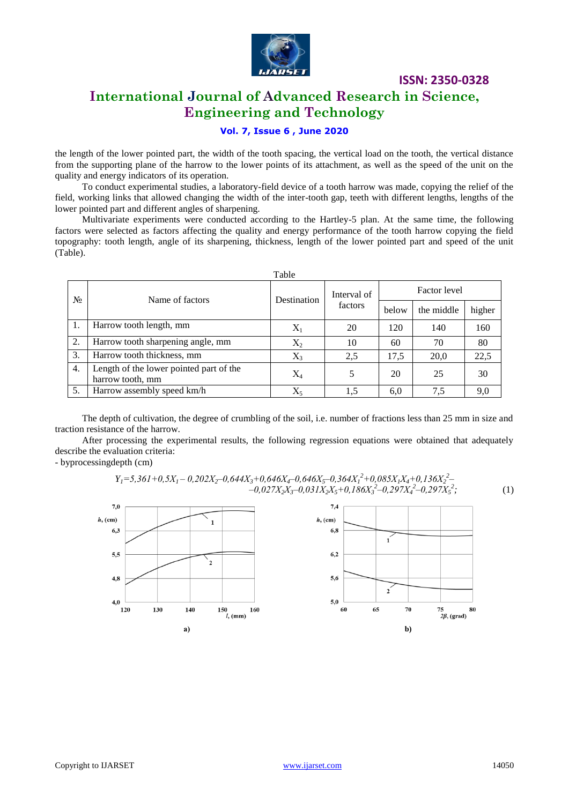

# **International Journal of Advanced Research in Science, Engineering and Technology**

# **Vol. 7, Issue 6 , June 2020**

the length of the lower pointed part, the width of the tooth spacing, the vertical load on the tooth, the vertical distance from the supporting plane of the harrow to the lower points of its attachment, as well as the speed of the unit on the quality and energy indicators of its operation.

To conduct experimental studies, a laboratory-field device of a tooth harrow was made, copying the relief of the field, working links that allowed changing the width of the inter-tooth gap, teeth with different lengths, lengths of the lower pointed part and different angles of sharpening.

Multivariate experiments were conducted according to the Hartley-5 plan. At the same time, the following factors were selected as factors affecting the quality and energy performance of the tooth harrow copying the field topography: tooth length, angle of its sharpening, thickness, length of the lower pointed part and speed of the unit (Table).

| Table |                                                             |                |                        |              |            |        |
|-------|-------------------------------------------------------------|----------------|------------------------|--------------|------------|--------|
| $N_2$ | Name of factors                                             | Destination    | Interval of<br>factors | Factor level |            |        |
|       |                                                             |                |                        | below        | the middle | higher |
|       | Harrow tooth length, mm                                     | $\rm X_1$      | 20                     | 120          | 140        | 160    |
| 2.    | Harrow tooth sharpening angle, mm                           | $\mathrm{X}_2$ | 10                     | 60           | 70         | 80     |
| 3.    | Harrow tooth thickness, mm                                  | $X_3$          | 2,5                    | 17.5         | 20,0       | 22,5   |
| 4.    | Length of the lower pointed part of the<br>harrow tooth, mm | $\rm X_4$      | 5                      | 20           | 25         | 30     |
| 5.    | Harrow assembly speed km/h                                  | $X_5$          | 1,5                    | 6.0          | 7,5        | 9,0    |

The depth of cultivation, the degree of crumbling of the soil, i.e. number of fractions less than 25 mm in size and traction resistance of the harrow.

After processing the experimental results, the following regression equations were obtained that adequately describe the evaluation criteria:

- byprocessingdepth (cm)

 $Y_1 = 5,361 + 0,5X_1 - 0,202X_2 - 0,644X_3 + 0,646X_4 - 0,646X_5 - 0,364X_1^2 + 0,085X_1X_4 + 0,136X_2^2 -0.027X_2X_3 - 0.031X_2X_5 + 0.186X_3^2 - 0.297X_4^2 - 0.297X_5^2$ *;* (1)

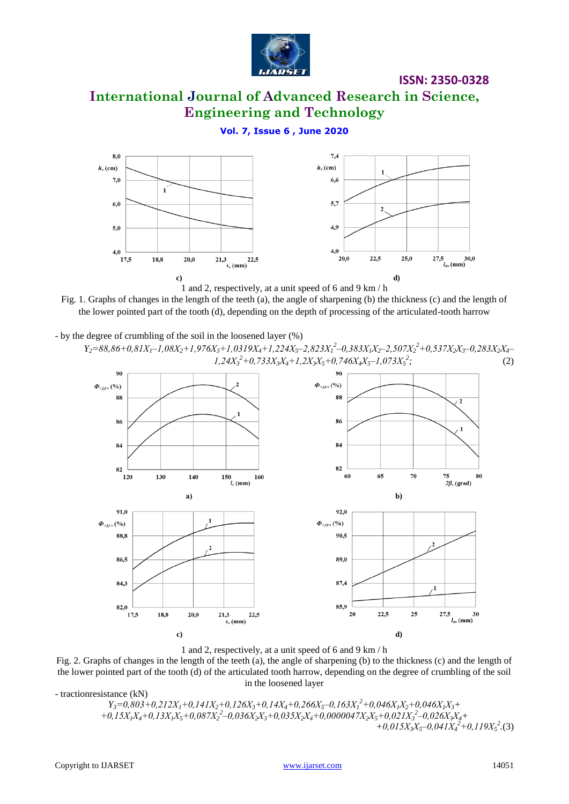

# **International Journal of Advanced Research in Science, Engineering and Technology**

#### **Vol. 7, Issue 6 , June 2020**



Fig. 1. Graphs of changes in the length of the teeth (a), the angle of sharpening (b) the thickness (c) and the length of the lower pointed part of the tooth (d), depending on the depth of processing of the articulated-tooth harrow

- by the degree of crumbling of the soil in the loosened layer (%)  $Y_2=88,86+0,81X_1-1,08X_2+1,976X_3+1,0319X_4+1,224X_5-2,823X_1^2-0,383X_1X_2-2,507X_2^2+0,537X_2X_3-0,283X_2X_4-0,$ 



1 and 2, respectively, at a unit speed of 6 and 9 km / h

Fig. 2. Graphs of changes in the length of the teeth (a), the angle of sharpening (b) to the thickness (c) and the length of the lower pointed part of the tooth (d) of the articulated tooth harrow, depending on the degree of crumbling of the soil in the loosened layer

- tractionresistance (kN)  $Y_3=0,803+0,212X_1+0,141X_2+0,126X_3+0,14X_4+0,266X_5-0,163X_1^2+0,046X_1X_2+0,046X_1X_3+$  $+0,15X_1X_4+0,13X_1X_5+0,087X_2^2-0,036X_2X_3+0,035X_2X_4+0,0000047X_2X_5+0,021X_3^2-0,026X_3X_4+$  $+0.015X_3X_5 - 0.041X_4^2 + 0.119X_5^2$ .(3)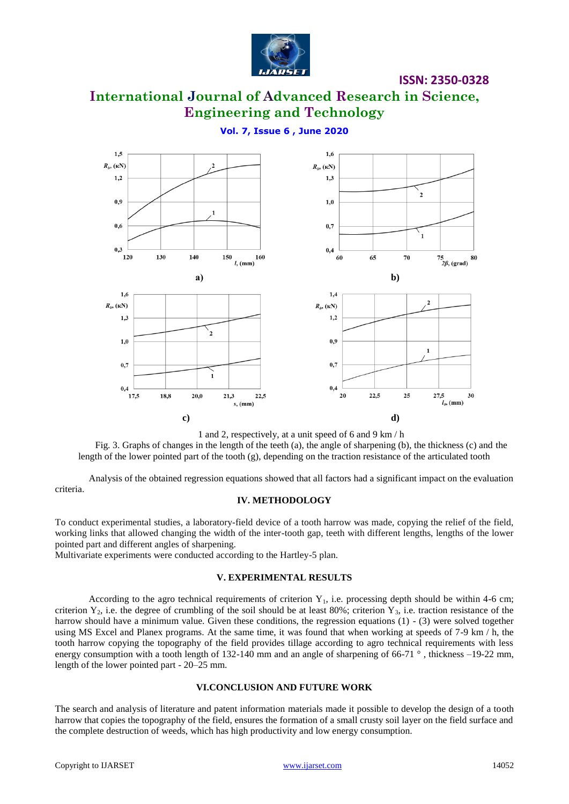

# **International Journal of Advanced Research in Science, Engineering and Technology**

### **Vol. 7, Issue 6 , June 2020**



1 and 2, respectively, at a unit speed of 6 and 9 km / h

Fig. 3. Graphs of changes in the length of the teeth (a), the angle of sharpening (b), the thickness (c) and the length of the lower pointed part of the tooth (g), depending on the traction resistance of the articulated tooth

Analysis of the obtained regression equations showed that all factors had a significant impact on the evaluation criteria.

#### **IV. METHODOLOGY**

To conduct experimental studies, a laboratory-field device of a tooth harrow was made, copying the relief of the field, working links that allowed changing the width of the inter-tooth gap, teeth with different lengths, lengths of the lower pointed part and different angles of sharpening.

Multivariate experiments were conducted according to the Hartley-5 plan.

#### **V. EXPERIMENTAL RESULTS**

According to the agro technical requirements of criterion  $Y_1$ , i.e. processing depth should be within 4-6 cm; criterion  $Y_2$ , i.e. the degree of crumbling of the soil should be at least 80%; criterion  $Y_3$ , i.e. traction resistance of the harrow should have a minimum value. Given these conditions, the regression equations (1) - (3) were solved together using MS Excel and Planex programs. At the same time, it was found that when working at speeds of 7-9 km / h, the tooth harrow copying the topography of the field provides tillage according to agro technical requirements with less energy consumption with a tooth length of 132-140 mm and an angle of sharpening of 66-71  $\degree$ , thickness –19-22 mm, length of the lower pointed part - 20–25 mm.

#### **VI.CONCLUSION AND FUTURE WORK**

The search and analysis of literature and patent information materials made it possible to develop the design of a tooth harrow that copies the topography of the field, ensures the formation of a small crusty soil layer on the field surface and the complete destruction of weeds, which has high productivity and low energy consumption.